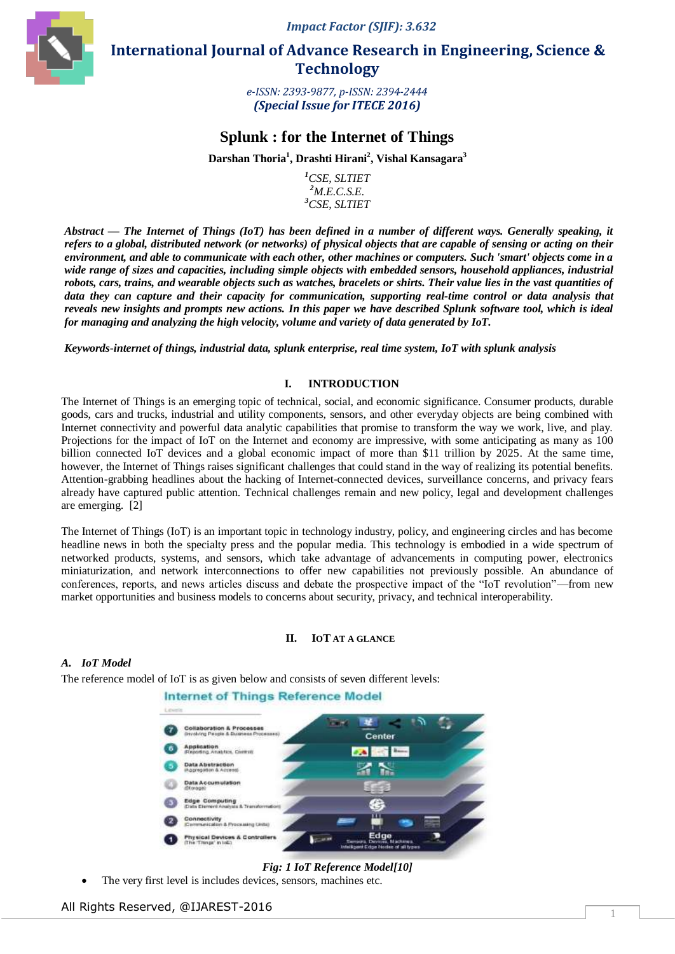*Impact Factor (SJIF): 3.632*



 **International Journal of Advance Research in Engineering, Science & Technology** 

> *e-ISSN: 2393-9877, p-ISSN: 2394-2444 (Special Issue for ITECE 2016)*

# **Splunk : for the Internet of Things**

**Darshan Thoria<sup>1</sup> , Drashti Hirani<sup>2</sup> , Vishal Kansagara<sup>3</sup>**

*<sup>1</sup>CSE, SLTIET <sup>2</sup>M.E.C.S.E. <sup>3</sup>CSE, SLTIET*

*Abstract* **—** *The Internet of Things (IoT) has been defined in a number of different ways. Generally speaking, it refers to a global, distributed network (or networks) of physical objects that are capable of sensing or acting on their environment, and able to communicate with each other, other machines or computers. Such 'smart' objects come in a wide range of sizes and capacities, including simple objects with embedded sensors, household appliances, industrial robots, cars, trains, and wearable objects such as watches, bracelets or shirts. Their value lies in the vast quantities of data they can capture and their capacity for communication, supporting real-time control or data analysis that reveals new insights and prompts new actions. In this paper we have described Splunk software tool, which is ideal for managing and analyzing the high velocity, volume and variety of data generated by IoT.*

*Keywords-internet of things, industrial data, splunk enterprise, real time system, IoT with splunk analysis*

## **I. INTRODUCTION**

The Internet of Things is an emerging topic of technical, social, and economic significance. Consumer products, durable goods, cars and trucks, industrial and utility components, sensors, and other everyday objects are being combined with Internet connectivity and powerful data analytic capabilities that promise to transform the way we work, live, and play. Projections for the impact of IoT on the Internet and economy are impressive, with some anticipating as many as 100 billion connected IoT devices and a global economic impact of more than \$11 trillion by 2025. At the same time, however, the Internet of Things raises significant challenges that could stand in the way of realizing its potential benefits. Attention-grabbing headlines about the hacking of Internet-connected devices, surveillance concerns, and privacy fears already have captured public attention. Technical challenges remain and new policy, legal and development challenges are emerging. [2]

The Internet of Things (IoT) is an important topic in technology industry, policy, and engineering circles and has become headline news in both the specialty press and the popular media. This technology is embodied in a wide spectrum of networked products, systems, and sensors, which take advantage of advancements in computing power, electronics miniaturization, and network interconnections to offer new capabilities not previously possible. An abundance of conferences, reports, and news articles discuss and debate the prospective impact of the "IoT revolution"—from new market opportunities and business models to concerns about security, privacy, and technical interoperability.

## **II. IOT AT A GLANCE**

## *A. IoT Model*

The reference model of IoT is as given below and consists of seven different levels:

#### **Internet of Things Reference Model**



*Fig: 1 IoT Reference Model[10]*

The very first level is includes devices, sensors, machines etc.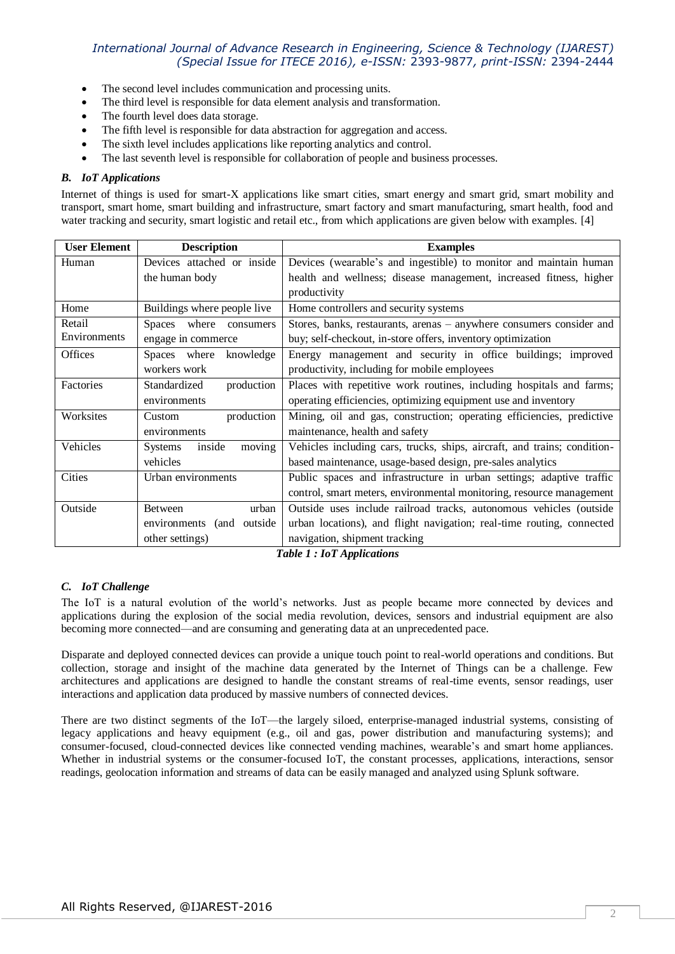- The second level includes communication and processing units.
- The third level is responsible for data element analysis and transformation.
- The fourth level does data storage.
- The fifth level is responsible for data abstraction for aggregation and access.
- The sixth level includes applications like reporting analytics and control.
- The last seventh level is responsible for collaboration of people and business processes.

#### *B. IoT Applications*

Internet of things is used for smart-X applications like smart cities, smart energy and smart grid, smart mobility and transport, smart home, smart building and infrastructure, smart factory and smart manufacturing, smart health, food and water tracking and security, smart logistic and retail etc., from which applications are given below with examples. [4]

| <b>User Element</b> | <b>Description</b>                  | <b>Examples</b>                                                          |
|---------------------|-------------------------------------|--------------------------------------------------------------------------|
| Human               | Devices attached or inside          | Devices (wearable's and ingestible) to monitor and maintain human        |
|                     | the human body                      | health and wellness; disease management, increased fitness, higher       |
|                     |                                     | productivity                                                             |
| Home                | Buildings where people live         | Home controllers and security systems                                    |
| Retail              | <b>Spaces</b><br>where<br>consumers | Stores, banks, restaurants, arenas – anywhere consumers consider and     |
| Environments        | engage in commerce                  | buy; self-checkout, in-store offers, inventory optimization              |
| Offices             | Spaces where<br>knowledge           | Energy management and security in office buildings; improved             |
|                     | workers work                        | productivity, including for mobile employees                             |
| Factories           | Standardized<br>production          | Places with repetitive work routines, including hospitals and farms;     |
|                     | environments                        | operating efficiencies, optimizing equipment use and inventory           |
| Worksites           | production<br>Custom                | Mining, oil and gas, construction; operating efficiencies, predictive    |
|                     | environments                        | maintenance, health and safety                                           |
| Vehicles            | inside<br>moving<br><b>Systems</b>  | Vehicles including cars, trucks, ships, aircraft, and trains; condition- |
|                     | vehicles                            | based maintenance, usage-based design, pre-sales analytics               |
| Cities              | Urban environments                  | Public spaces and infrastructure in urban settings; adaptive traffic     |
|                     |                                     | control, smart meters, environmental monitoring, resource management     |
| Outside             | urban<br>Between                    | Outside uses include railroad tracks, autonomous vehicles (outside       |
|                     | environments (and outside           | urban locations), and flight navigation; real-time routing, connected    |
|                     | other settings)                     | navigation, shipment tracking                                            |

*Table 1 : IoT Applications*

## *C. IoT Challenge*

The IoT is a natural evolution of the world's networks. Just as people became more connected by devices and applications during the explosion of the social media revolution, devices, sensors and industrial equipment are also becoming more connected—and are consuming and generating data at an unprecedented pace.

Disparate and deployed connected devices can provide a unique touch point to real-world operations and conditions. But collection, storage and insight of the machine data generated by the Internet of Things can be a challenge. Few architectures and applications are designed to handle the constant streams of real-time events, sensor readings, user interactions and application data produced by massive numbers of connected devices.

There are two distinct segments of the IoT—the largely siloed, enterprise-managed industrial systems, consisting of legacy applications and heavy equipment (e.g., oil and gas, power distribution and manufacturing systems); and consumer-focused, cloud-connected devices like connected vending machines, wearable's and smart home appliances. Whether in industrial systems or the consumer-focused IoT, the constant processes, applications, interactions, sensor readings, geolocation information and streams of data can be easily managed and analyzed using Splunk software.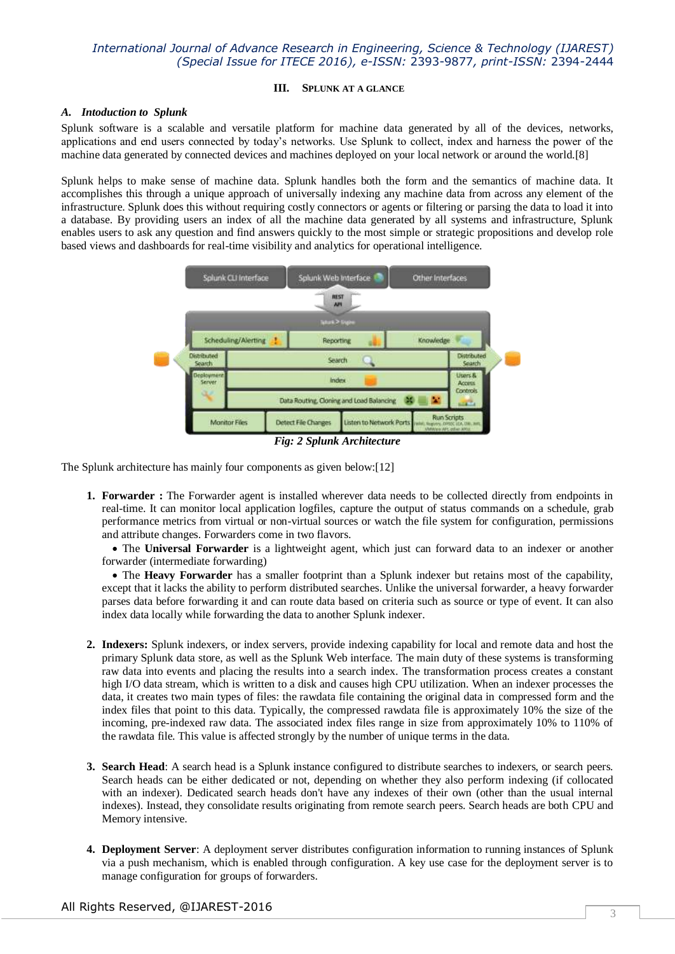#### **III. SPLUNK AT A GLANCE**

#### *A. Intoduction to Splunk*

Splunk software is a scalable and versatile platform for machine data generated by all of the devices, networks, applications and end users connected by today's networks. Use Splunk to collect, index and harness the power of the machine data generated by connected devices and machines deployed on your local network or around the world.[8]

Splunk helps to make sense of machine data. Splunk handles both the form and the semantics of machine data. It accomplishes this through a unique approach of universally indexing any machine data from across any element of the infrastructure. Splunk does this without requiring costly connectors or agents or filtering or parsing the data to load it into a database. By providing users an index of all the machine data generated by all systems and infrastructure, Splunk enables users to ask any question and find answers quickly to the most simple or strategic propositions and develop role based views and dashboards for real-time visibility and analytics for operational intelligence.



*Fig: 2 Splunk Architecture*

The Splunk architecture has mainly four components as given below:[12]

**1. Forwarder :** The Forwarder agent is installed wherever data needs to be collected directly from endpoints in real-time. It can monitor local application logfiles, capture the output of status commands on a schedule, grab performance metrics from virtual or non-virtual sources or watch the file system for configuration, permissions and attribute changes. Forwarders come in two flavors.

 The **Universal Forwarder** is a lightweight agent, which just can forward data to an indexer or another forwarder (intermediate forwarding)

 The **Heavy Forwarder** has a smaller footprint than a Splunk indexer but retains most of the capability, except that it lacks the ability to perform distributed searches. Unlike the universal forwarder, a heavy forwarder parses data before forwarding it and can route data based on criteria such as source or type of event. It can also index data locally while forwarding the data to another Splunk indexer.

- **2. Indexers:** Splunk indexers, or index servers, provide indexing capability for local and remote data and host the primary Splunk data store, as well as the Splunk Web interface. The main duty of these systems is transforming raw data into events and placing the results into a search index. The transformation process creates a constant high I/O data stream, which is written to a disk and causes high CPU utilization. When an indexer processes the data, it creates two main types of files: the rawdata file containing the original data in compressed form and the index files that point to this data. Typically, the compressed rawdata file is approximately 10% the size of the incoming, pre-indexed raw data. The associated index files range in size from approximately 10% to 110% of the rawdata file. This value is affected strongly by the number of unique terms in the data.
- **3. Search Head**: A search head is a Splunk instance configured to distribute searches to indexers, or search peers. Search heads can be either dedicated or not, depending on whether they also perform indexing (if collocated with an indexer). Dedicated search heads don't have any indexes of their own (other than the usual internal indexes). Instead, they consolidate results originating from remote search peers. Search heads are both CPU and Memory intensive.
- **4. Deployment Server**: A deployment server distributes configuration information to running instances of Splunk via a push mechanism, which is enabled through configuration. A key use case for the deployment server is to manage configuration for groups of forwarders.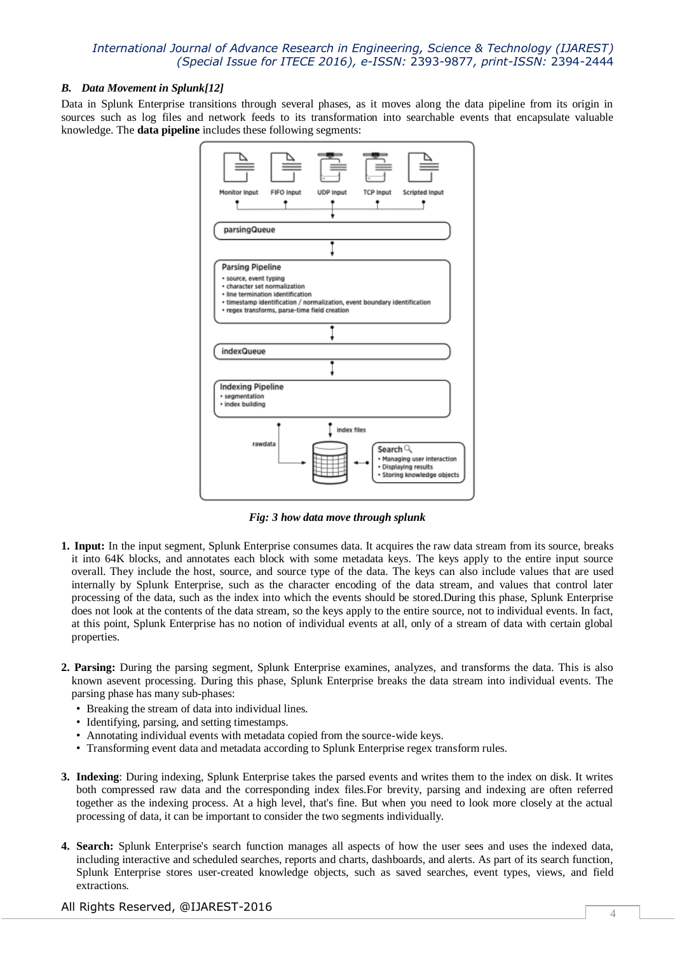#### *B. Data Movement in Splunk[12]*

Data in Splunk Enterprise transitions through several phases, as it moves along the data pipeline from its origin in sources such as log files and network feeds to its transformation into searchable events that encapsulate valuable knowledge. The **data pipeline** includes these following segments:



*Fig: 3 how data move through splunk*

- **1. Input:** In the input segment, Splunk Enterprise consumes data. It acquires the raw data stream from its source, breaks it into 64K blocks, and annotates each block with some metadata keys. The keys apply to the entire input source overall. They include the host, source, and source type of the data. The keys can also include values that are used internally by Splunk Enterprise, such as the character encoding of the data stream, and values that control later processing of the data, such as the index into which the events should be stored.During this phase, Splunk Enterprise does not look at the contents of the data stream, so the keys apply to the entire source, not to individual events. In fact, at this point, Splunk Enterprise has no notion of individual events at all, only of a stream of data with certain global properties.
- **2. Parsing:** During the parsing segment, Splunk Enterprise examines, analyzes, and transforms the data. This is also known asevent processing. During this phase, Splunk Enterprise breaks the data stream into individual events. The parsing phase has many sub-phases:
	- Breaking the stream of data into individual lines.
	- Identifying, parsing, and setting timestamps.
	- Annotating individual events with metadata copied from the source-wide keys.
	- Transforming event data and metadata according to Splunk Enterprise regex transform rules.
- **3. Indexing**: During indexing, Splunk Enterprise takes the parsed events and writes them to the index on disk. It writes both compressed raw data and the corresponding index files.For brevity, parsing and indexing are often referred together as the indexing process. At a high level, that's fine. But when you need to look more closely at the actual processing of data, it can be important to consider the two segments individually.
- **4. Search:** Splunk Enterprise's search function manages all aspects of how the user sees and uses the indexed data, including interactive and scheduled searches, reports and charts, dashboards, and alerts. As part of its search function, Splunk Enterprise stores user-created knowledge objects, such as saved searches, event types, views, and field extractions.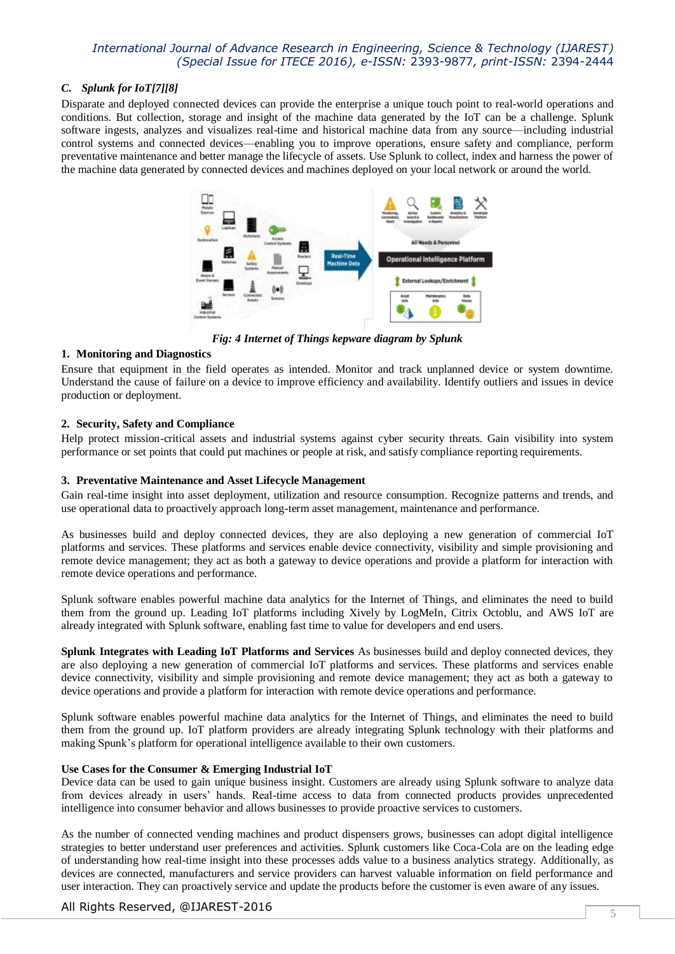## *C. Splunk for IoT[7][8]*

Disparate and deployed connected devices can provide the enterprise a unique touch point to real-world operations and conditions. But collection, storage and insight of the machine data generated by the IoT can be a challenge. Splunk software ingests, analyzes and visualizes real-time and historical machine data from any source—including industrial control systems and connected devices—enabling you to improve operations, ensure safety and compliance, perform preventative maintenance and better manage the lifecycle of assets. Use Splunk to collect, index and harness the power of the machine data generated by connected devices and machines deployed on your local network or around the world.



*Fig: 4 Internet of Things kepware diagram by Splunk*

## **1. Monitoring and Diagnostics**

Ensure that equipment in the field operates as intended. Monitor and track unplanned device or system downtime. Understand the cause of failure on a device to improve efficiency and availability. Identify outliers and issues in device production or deployment.

## **2. Security, Safety and Compliance**

Help protect mission-critical assets and industrial systems against cyber security threats. Gain visibility into system performance or set points that could put machines or people at risk, and satisfy compliance reporting requirements.

## **3. Preventative Maintenance and Asset Lifecycle Management**

Gain real-time insight into asset deployment, utilization and resource consumption. Recognize patterns and trends, and use operational data to proactively approach long-term asset management, maintenance and performance.

As businesses build and deploy connected devices, they are also deploying a new generation of commercial IoT platforms and services. These platforms and services enable device connectivity, visibility and simple provisioning and remote device management; they act as both a gateway to device operations and provide a platform for interaction with remote device operations and performance.

Splunk software enables powerful machine data analytics for the Internet of Things, and eliminates the need to build them from the ground up. Leading IoT platforms including Xively by LogMeIn, Citrix Octoblu, and AWS IoT are already integrated with Splunk software, enabling fast time to value for developers and end users.

**Splunk Integrates with Leading IoT Platforms and Services** As businesses build and deploy connected devices, they are also deploying a new generation of commercial IoT platforms and services. These platforms and services enable device connectivity, visibility and simple provisioning and remote device management; they act as both a gateway to device operations and provide a platform for interaction with remote device operations and performance.

Splunk software enables powerful machine data analytics for the Internet of Things, and eliminates the need to build them from the ground up. IoT platform providers are already integrating Splunk technology with their platforms and making Spunk's platform for operational intelligence available to their own customers.

## **Use Cases for the Consumer & Emerging Industrial IoT**

Device data can be used to gain unique business insight. Customers are already using Splunk software to analyze data from devices already in users' hands. Real-time access to data from connected products provides unprecedented intelligence into consumer behavior and allows businesses to provide proactive services to customers.

As the number of connected vending machines and product dispensers grows, businesses can adopt digital intelligence strategies to better understand user preferences and activities. Splunk customers like Coca-Cola are on the leading edge of understanding how real-time insight into these processes adds value to a business analytics strategy. Additionally, as devices are connected, manufacturers and service providers can harvest valuable information on field performance and user interaction. They can proactively service and update the products before the customer is even aware of any issues.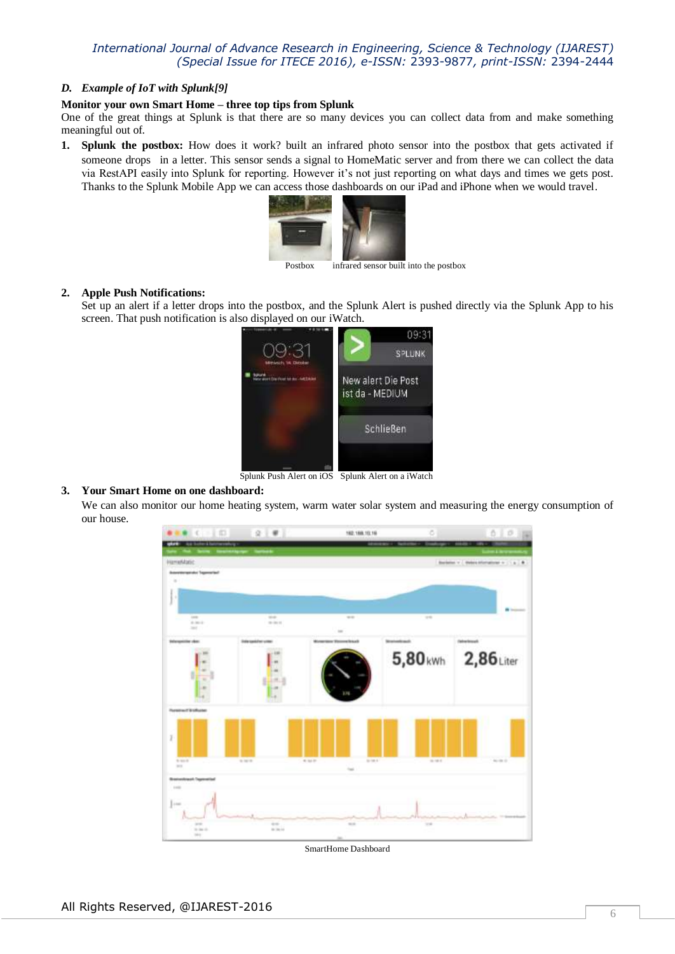#### *D. Example of IoT with Splunk[9]*

#### **Monitor your own Smart Home – three top tips from Splunk**

One of the great things at Splunk is that there are so many devices you can collect data from and make something meaningful out of.

**1. Splunk the postbox:** How does it work? built an infrared photo sensor into the postbox that gets activated if someone drops in a letter. This sensor sends a signal to HomeMatic server and from there we can collect the data via RestAPI easily into Splunk for reporting. However it's not just reporting on what days and times we gets post. Thanks to the Splunk Mobile App we can access those dashboards on our iPad and iPhone when we would travel.



Postbox infrared sensor built into the postbox

#### **2. Apple Push Notifications:**

Set up an alert if a letter drops into the postbox, and the Splunk Alert is pushed directly via the Splunk App to his screen. That push notification is also displayed on our iWatch.



Splunk Push Alert on iOS Splunk Alert on a iWatch

## **3. Your Smart Home on one dashboard:**

We can also monitor our home heating system, warm water solar system and measuring the energy consumption of our house.



SmartHome Dashboard